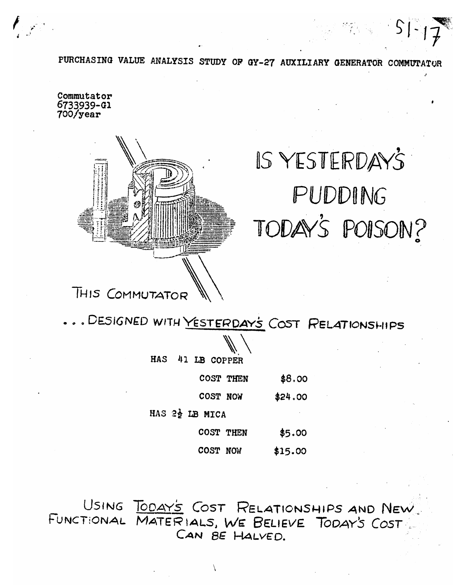PURCHASING VALUE ANALYSIS STUDY OF GY-27 AUXILIARY GENERATOR COMMUTATOR

Commutator 6733939-G1 700/year



# IS YESTERDAYS PUDDING TODAY'S POISON?

.. DESIGNED WITH YESTERDAYS COST RELATIONSHIPS

| ١      | ١            |
|--------|--------------|
| ١      |              |
| ł<br>١ | $\backslash$ |

41 LB COPPER **HAS** 

| COST THEN | \$8.00 |
|-----------|--------|
|-----------|--------|

COST NOW \$24.00

HAS 22 LB MICA

| <b>COST THEN</b> | \$5.00 |
|------------------|--------|
|------------------|--------|

COST NOW  $$15.00$ 

USING TODAY'S COST RELATIONSHIPS AND NEW FUNCTIONAL MATERIALS, WE BELIEVE TODAY'S COST CAN BE HALVED.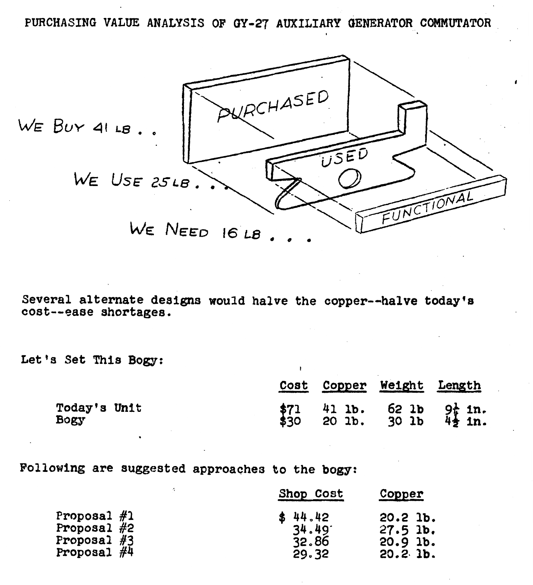**PURCHASING VALUE ANALYSIS OF QY-27 AUXILIARY QENERATOR COMMUTATOR I** 



**Several alternate designs would halve the copper-halve todayfa cost--ease shortagee.** 

**Let '8 Set This Bogy:** 

| rar arecruate designs would have the copper--have coday of<br>--ease shortages. |      |      |        |                                |                        |
|---------------------------------------------------------------------------------|------|------|--------|--------------------------------|------------------------|
| s Set This Bogy:                                                                |      |      |        |                                |                        |
|                                                                                 |      | Cost | Copper | Weight                         | Length                 |
| Today's Unit<br>Bogy                                                            | \$30 |      |        | $41$ 1b. 62 1b<br>20 1b. 30 1b | $91_{1}$ in.<br>45 in. |

**Following are suggested approaches to the bogy:** 

|               | Shop Cost | Copper     |
|---------------|-----------|------------|
| Proposal $#1$ | \$44.42   | $20.2$ lb. |
| Proposal $#2$ | 34.49'    | $27.5$ lb. |
| Proposal $#3$ | 32.86     | $20.9$ lb. |
| Proposal $#4$ | 29.32     | 20.21b.    |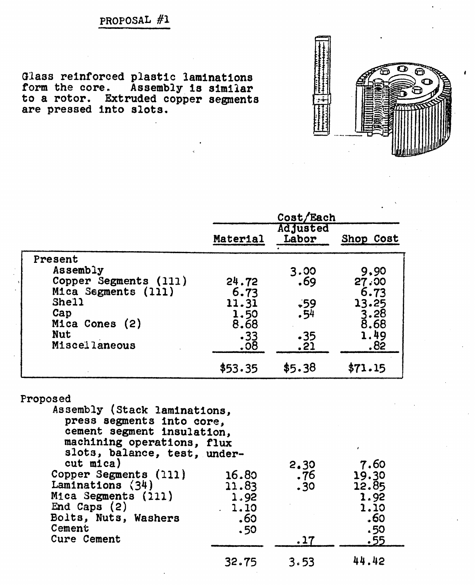**PROPOSAL #I** 

**Glass reinforced plastic laminations form the core. Assembly la similar to a** rotor. **Extruded copper segments are pressed into slots.** 



|                       |                | Cost/Each<br><b>Adjusted</b> |                  |
|-----------------------|----------------|------------------------------|------------------|
|                       | Material       | Labor                        | Shop Cost        |
| Present               |                |                              |                  |
| Assembly              |                | 3.00                         | 9,90             |
| Copper Segments (111) | 24.72          | .69                          | 27.00            |
| Mica Segments (111)   | 6.73           |                              | 6.73             |
| She11                 | 11.31          |                              | 13.25            |
| Cap                   | 1.50           | $.59$<br>$.54$               | $3.28$<br>$8.68$ |
| Mica Cones (2)        | 8.68           |                              |                  |
| <b>Nut</b>            | $.33$<br>$.08$ | $-35$                        | 1.49             |
| Miscellaneous         |                | .21                          | .82              |
|                       | \$53.35        | \$5.38                       | \$71.15          |

## **Proposed**

| Assembly (Stack laminations,<br>press segments into core,<br>cement segment insulation,<br>machining operations, flux<br>slots, balance, test, under- |       |      |       |
|-------------------------------------------------------------------------------------------------------------------------------------------------------|-------|------|-------|
| $cut$ mica)                                                                                                                                           |       | 2.30 | 7.60  |
| Copper Segments (111)                                                                                                                                 | 16.80 | .76  | 19.30 |
| Laminations $(34)$                                                                                                                                    | 11.83 | .30  | 12.85 |
| Mica Segments (211)                                                                                                                                   | 1.92  |      | 1.92  |
| End Caps $(2)$                                                                                                                                        | 1.10  |      | 1.10  |
| Bolts, Nuts, Washers                                                                                                                                  | .60   |      | .60   |
| Cement                                                                                                                                                | .50   |      | .50   |
| Cure Cement                                                                                                                                           |       | .17  | .55   |
|                                                                                                                                                       | 32.75 | 3.53 | 44.42 |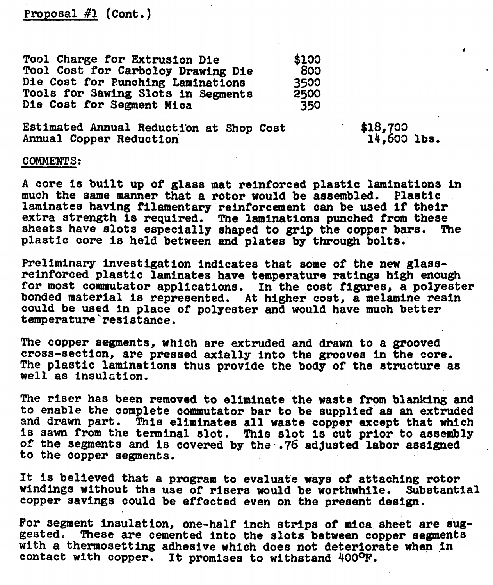**Proposal #1 (Cont.)** 

**Tool Charge for Extrusion Die \$100<br>
<b>Tool Cost for Carbolov Drawing Die** 800 Tool Cost for Carboloy Drawing Die 800<br>Die Cost for Punching Laminations 8500 **Die Cost for Eunchlng Laminations Tools for Sawing Slots in Segments 2500**<br>Die Cost for Segment Mica **1350 250 Die Cost for Segment Mica 350** 

**14,603 lbs.** 

## **Estimated Annual Reduction at Shop Cost**  $\begin{array}{ccc}\n 18,700 \\
 -14,600\n \end{array}$

/

## **COMMENTS:**

**A core is built up of glass mat ~einforced plastic laminations in much the same manner that a rotor would be assembled. Plastic laminates having f'llamentary reinforcement can be used if their extra strength la required. The laminations punched from these sheets have slots especially shaped to grip the copper bars. The plastic core Is held between and plates by through bolts.** 

**Preliminary** investigation **indicates that some of the new glassreinforced plastic laminates have temperature ratings high enough for most commutator applications. In the cost figures, a polyester bonded material ia represented. At higher cost, a melamine resin could be used in place of polyester and would have much better temperature'resistance.** 

**The copper segments, which are extruded and drawn to a grooved cross-aection, ape pressed axially into the grooves in the core.**  The plastic laminations thus provide the body of the structure as **well as insulation.** 

**The riser has been removed to eliminate the waste from blanking and to enable the complete commutator bar to be supplied as an extruded and drawn part. This eliminates all waste copper except that which Is sawn from the terminal slot. This slot Is cut prior to assembly 0% the segments and is covered by the .76 adjusted labor assigned** , **to the copper segments.** 

**It is believed that a program to evaluate ways of attaching rotor windings without the use of risers would be worthwhile. copper savings could be effected even on the preaent design.** 

For segment insulation, one-half inch strips of mica sheet are sug-<br>gested. These are cemented into the slots between copper segments with a thermosetting adhesive which does not deteriorate when in contact with copper. It promises to withstand 400°F.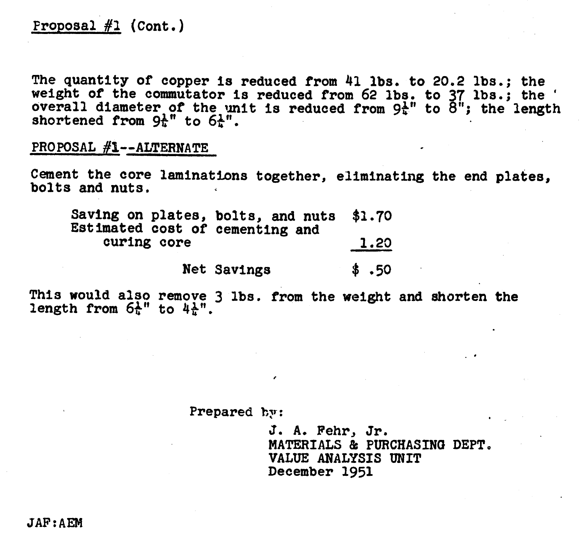## $Proofs1$   $#1$   $(Cont.)$

**The quantity of copper is reduced from 41 ibs. to 20.2 lbs.; the weight of the commutator Is reduced from 62 lbs. to 37 lbs.; the** ' **overall diameter of the** unit **is reduced from 9tt' to 8"; the length shortened from 9t" to 6t".** 

**PROPOSAL #I--ALTERNATE** 

**Cement the core laminatinns together, eliminating the end plates, bolts and nuts,** 

| Saving on plates, bolts, and nuts \$1.70<br>Estimated cost of cementing and |       |
|-----------------------------------------------------------------------------|-------|
| curing core                                                                 | 1.20  |
| Net Savings                                                                 | \$.50 |

**This would also remove 3 lbs. from the weight and shorten the**  length from  $6t''$  to  $4t'''$ .

## Prepared **by:**

**J. A. Fehr, Jr. MATERIALS** *Bt* **PURCHASfNa DEPT, VALUE ANALYSIS UNIT December 1951**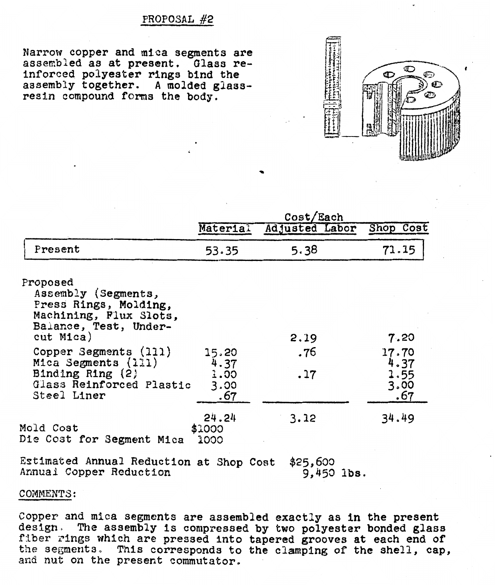## PROPOSAL **#2**

Narrow **copper and mica segments are asserrb:ed as at present. Glass re**inforced **polyester rings bind the assembly together. A molded glassresin compound** foms the **body.** 

|                                                                                                             | Cost/Each               |                |                     |  |
|-------------------------------------------------------------------------------------------------------------|-------------------------|----------------|---------------------|--|
|                                                                                                             | Material                | Adjusted Labor | Shop Cost           |  |
| Present                                                                                                     | 53.35                   | 5.38           | 71.15               |  |
| Proposed<br>Assembly (Segments,<br>Press Rings, Molding,<br>Machining, Flux Slots,<br>Balance, Test, Under- |                         |                |                     |  |
| $cut$ Mica)                                                                                                 |                         | 2.19           | 7.20                |  |
| Copper Segments (111)<br>Mica Segments (111)                                                                | 15.20<br>4.37           | .76            | 17.70<br>4.37       |  |
| Binding Ring (2)<br>Glass Reinforced Plastic<br>Steel Liner                                                 | 1.00<br>3.00<br>.67     | .17            | 1.55<br>3.00<br>.67 |  |
| iold Cost<br>Die Cost for Segment Mica                                                                      | 24.24<br>\$1000<br>1000 | 3.12           | 34.49               |  |

**Estimated Annual Reduction at** Shop **Cost \$25,633 Annual** Copper **Reduction** 9,453 **ibs.** 

## COMMENTS:

Copper **and mfca segments are assembled exactly a8 in the present design,** The **assembly Is compressed by two polyester bonded glass**  fiber ~ings **whlch** are **pressed** Into **tapered grooves at each end of the segments., This corresponds to the clamplng of** the **shell, cap,**  and nut on the present commutator.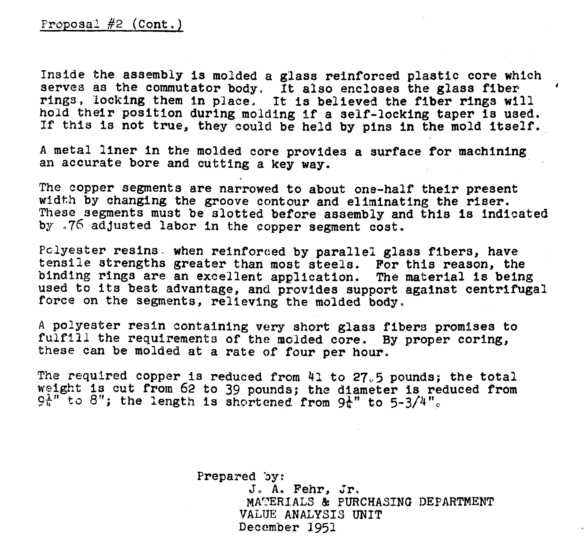**Inside the assembly is molded a glass reinforced plastlc core which servos as the commutator body, It also encloses the glass fiber** *<sup>I</sup>* **rings, locking them in p3ace, It is believed the fiber rings will hold their position during molding if a self-locking taper 1s used. If this is not true, they could be held by pins in the mold Itself.** 

**A metal liner in the molded core provides a surface for machining an accurate bore and cutting a key way.** 

**The copper segments are narrowed to about one-half their present width by changing the groove contour and eliminating the rieer. Theso segments must be slotted before assembly and this Is indicated by-** *J'6* **adjusted labor in the copper segment coat.** 

Pclyester resins. when reinforced by parallel glass fibers, have **tensile strengths greater than most steels. For this reason, the bindlng rings are an excellent application. The material 18 being used to its best advantage, and provides support against centrifugal force on the Segments, relieving the molded body,** 

**<sup>A</sup>polyester resin containing very short glass fibers promises to fulfill** the **requirements of** the **molded core. By proper coring, these can be molded at a rate of four per hour.** 

**The required copper is reduced from 41 to 27/j pounds; the total weight is cut from 62 to 39 pounds; the diameter is reduced Prom**   $9t''$  to 8"; the length is shortened from  $9t''$  to  $5-3/4"$ .

> **Prepared by:**  J. **A, Fehr, Jr, MATERIALS** & **PURCHASING DEPARTMENT VALUE ANALYSIS** UNIT **December 1951**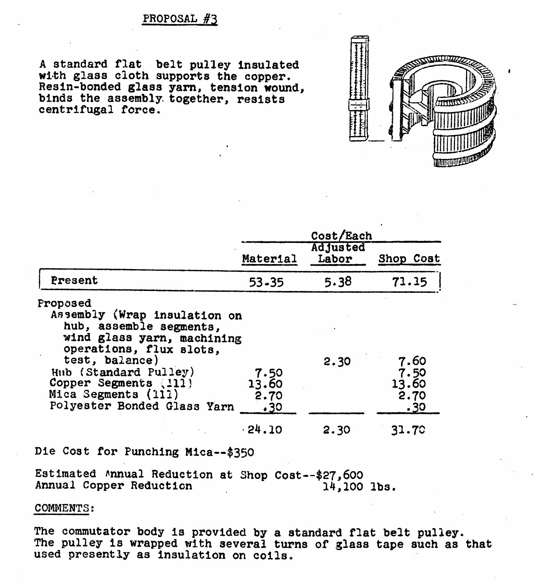## **PROPOSAL** #z

**<sup>A</sup>standard flat belt pulley insulated w&th glass cloth supports the copper. Resin-bonded glass yam, tension wound, binds the assembly- together, resists centrifugal force.** 



|                                                                                                                                                                                                                                                               |                              | Cost/Each         |                                      |
|---------------------------------------------------------------------------------------------------------------------------------------------------------------------------------------------------------------------------------------------------------------|------------------------------|-------------------|--------------------------------------|
|                                                                                                                                                                                                                                                               | Material                     | Adjusted<br>Labor | Shop Cost                            |
| Present                                                                                                                                                                                                                                                       | 53.35                        | 5.38              | 71.15                                |
| <b>Proposed</b><br>Assembly (Wrap insulation on<br>hub, assemble segments,<br>wind glass yarn, machining<br>operations, flux slots.<br>test, balance)<br>Hub (Standard Pulley)<br>Copper Segments (111)<br>Mica Segments (111)<br>Polyester Bonded Glass Yarn | 7.50<br>13.60<br>2.70<br>.30 | 2.30              | 7.60<br>7.50<br>13.60<br>2.70<br>.30 |
|                                                                                                                                                                                                                                                               | $-24.10$                     | 2.30              | 31.70                                |

**Die Cost for Punching Mica--\$350** 

Estimated Annual Reduction at Shop Cost--\$27,600<br>Annual Copper Reduction 14,100 lbs. **Annual Copper Reduction** 

### COMMENTS:

**The commutator body is provided by a standard flat belt pulley. The pulley is wrapped with several turns of glass tape such as that used presently as insulation on coils.**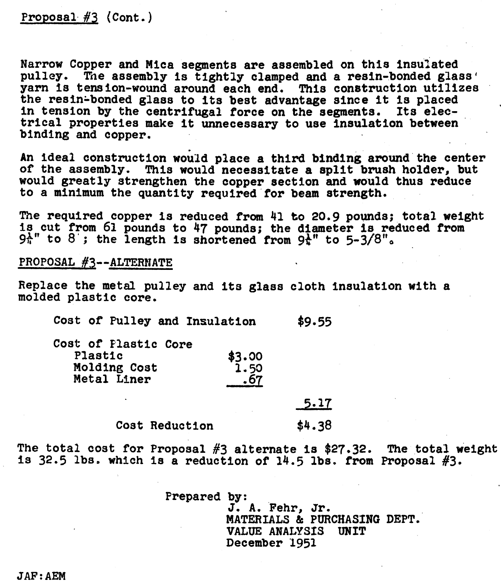## Proposal #3 (Cont.)

Narrow Copper and Mica segments are assembled on this insulated **pulley. Tae assembly is** tightly clamped **end** a resin-bonded **glass' yarn 18** tension-wound around each **end. This** construction utilizes the resln~bonded **glass** to its best advantage since It is placed **in** tension by the centrifugal force on the segments. **Its electrical** properties **make** It unnecessary to use insulation between binding and copper.

An ideal construction **would** place a third binding **around** the center of **the assembly.** This would necessitate a split **brush** holder, but would greatly strengthen the copper section and **would thus** reduce to a minimum **the** quantity required-for beam strength.

**The** required copper is reduced **from** 41 to 20.9 pounds; total weight **ia** cut from **61** pounds to 47 pounds; **the diameter** is reduced from **9\*"** to 8'; the length is shortened from **9t"** to **5-3/8%** 

**PROPOSAL #3--ALTERNATE** 

**Replace the** metal pulley and its glass **cloth** insulation with a molded plastic core.

| Cost of Pulley and Insulation | \$9.55 |
|-------------------------------|--------|
| Cost of Plastic Core          |        |
| Plastic<br>$$3.00$<br>1.50    |        |
| Molding Cost                  |        |
| Metal Liner                   |        |

 $5.17$ \$4.38 **Cost** Reduction

The total **cost** for Proposal **#3** alternate is \$27.32. **The total** weight Is 32.5 **ibs.** which **is** a reduction of **14.5 lbs. from** Proposal **#3.** 

**Prepared by:** 

**J. A. Fehr, Jr. MATERIALS & PURCHASING DEPT. VALUE** ANALYSIS **UNIT**  December **1951**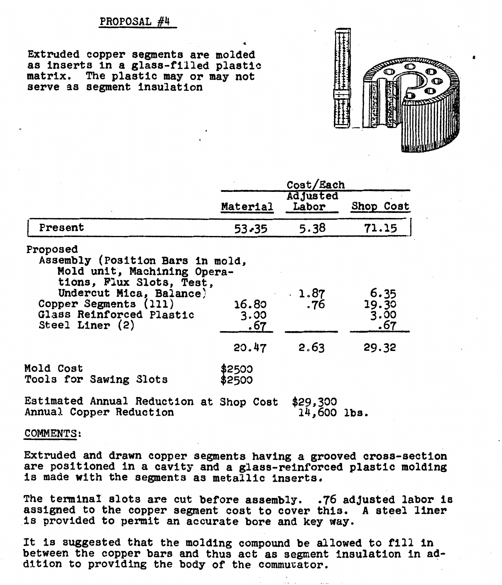## **PROPOSAL #4**

**Extruded copper segments are molded as insert8 In a glass-filled plastic matrix. The plastic may or may not serve as segment Insulation** 



|                                                                                                                                                                                                              | Cost/Each                     |                          |                                       |
|--------------------------------------------------------------------------------------------------------------------------------------------------------------------------------------------------------------|-------------------------------|--------------------------|---------------------------------------|
|                                                                                                                                                                                                              | Material                      | <b>Adjusted</b><br>Labor | Shop Cost                             |
| Present                                                                                                                                                                                                      | $53 - 35$                     | 5.38                     | 71.15                                 |
| Proposed<br>Assembly (Position Bars in mold,<br>Mold unit, Machining Opera-<br>tions, Flux Slots, Test,<br>Undercut Mica, Balance)<br>Copper Segments (111)<br>Glass Reinforced Plastic<br>Steel Liner $(2)$ | 16.80<br>3.00<br>.67<br>20.47 | .1.87<br>.76<br>2.63     | 6.35<br>19.30<br>3.00<br>.67<br>29.32 |
| <b>Mold Cost</b><br>Tools for Sawing Slots                                                                                                                                                                   | \$2500<br>\$2500              |                          |                                       |
| Eatimated Annual Reduction ot Shop Cost                                                                                                                                                                      |                               | 420 200                  |                                       |

**6** 

**Estimated Annual Reduction at Shop Cost \$29,330 Annual Copper Reduction 14,600 lba.** 

**COMMENTS** :

**Extruded and drawn copper segments having a grooved cross-section are positioned in a cavity and a glass-reinforced plastic molding is made with the segments as metallic inserts.** 

The terminal slots are cut before assembly. .76 adjusted labor is **assigned to the copper segment cost to cover thin. A steel liner is provided to permit an accurate bore and key way.** 

**It is suggested that the molding compound be allowed to** fill **In between the copper bare and thus act as segment insu'latlon in addition to providing the body of the cornmucator.**